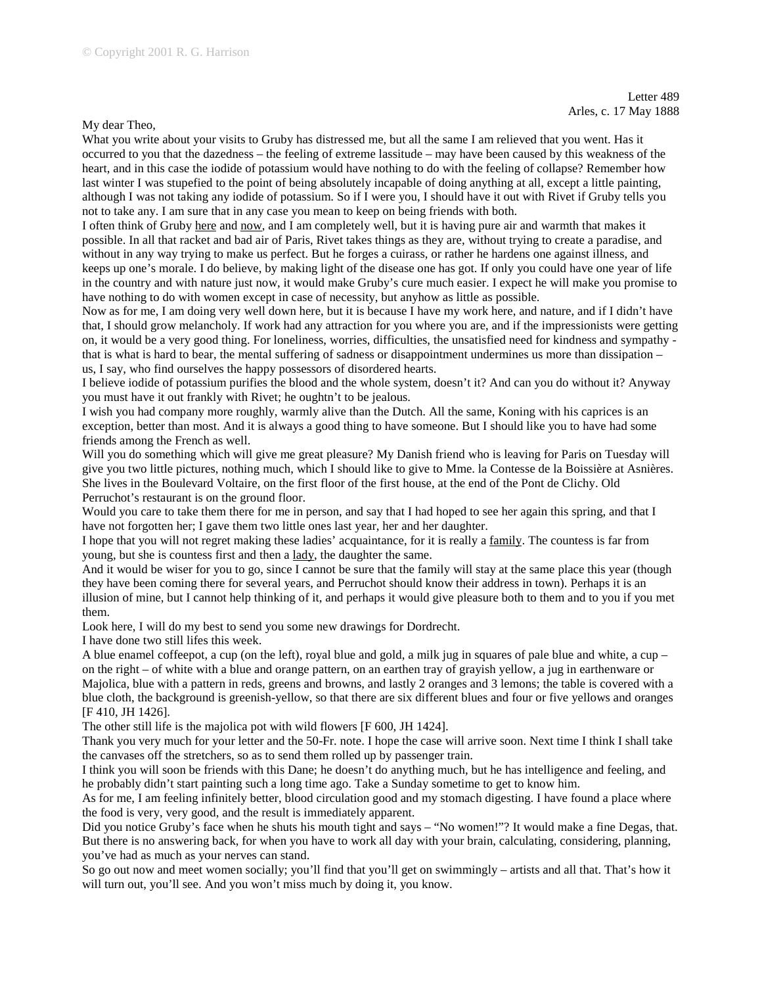My dear Theo,

What you write about your visits to Gruby has distressed me, but all the same I am relieved that you went. Has it occurred to you that the dazedness – the feeling of extreme lassitude – may have been caused by this weakness of the heart, and in this case the iodide of potassium would have nothing to do with the feeling of collapse? Remember how last winter I was stupefied to the point of being absolutely incapable of doing anything at all, except a little painting, although I was not taking any iodide of potassium. So if I were you, I should have it out with Rivet if Gruby tells you not to take any. I am sure that in any case you mean to keep on being friends with both.

I often think of Gruby here and now, and I am completely well, but it is having pure air and warmth that makes it possible. In all that racket and bad air of Paris, Rivet takes things as they are, without trying to create a paradise, and without in any way trying to make us perfect. But he forges a cuirass, or rather he hardens one against illness, and keeps up one's morale. I do believe, by making light of the disease one has got. If only you could have one year of life in the country and with nature just now, it would make Gruby's cure much easier. I expect he will make you promise to have nothing to do with women except in case of necessity, but anyhow as little as possible.

Now as for me, I am doing very well down here, but it is because I have my work here, and nature, and if I didn't have that, I should grow melancholy. If work had any attraction for you where you are, and if the impressionists were getting on, it would be a very good thing. For loneliness, worries, difficulties, the unsatisfied need for kindness and sympathy that is what is hard to bear, the mental suffering of sadness or disappointment undermines us more than dissipation – us, I say, who find ourselves the happy possessors of disordered hearts.

I believe iodide of potassium purifies the blood and the whole system, doesn't it? And can you do without it? Anyway you must have it out frankly with Rivet; he oughtn't to be jealous.

I wish you had company more roughly, warmly alive than the Dutch. All the same, Koning with his caprices is an exception, better than most. And it is always a good thing to have someone. But I should like you to have had some friends among the French as well.

Will you do something which will give me great pleasure? My Danish friend who is leaving for Paris on Tuesday will give you two little pictures, nothing much, which I should like to give to Mme. la Contesse de la Boissière at Asnières. She lives in the Boulevard Voltaire, on the first floor of the first house, at the end of the Pont de Clichy. Old Perruchot's restaurant is on the ground floor.

Would you care to take them there for me in person, and say that I had hoped to see her again this spring, and that I have not forgotten her; I gave them two little ones last year, her and her daughter.

I hope that you will not regret making these ladies' acquaintance, for it is really a family. The countess is far from young, but she is countess first and then a lady, the daughter the same.

And it would be wiser for you to go, since I cannot be sure that the family will stay at the same place this year (though they have been coming there for several years, and Perruchot should know their address in town). Perhaps it is an illusion of mine, but I cannot help thinking of it, and perhaps it would give pleasure both to them and to you if you met them.

Look here, I will do my best to send you some new drawings for Dordrecht.

I have done two still lifes this week.

A blue enamel coffeepot, a cup (on the left), royal blue and gold, a milk jug in squares of pale blue and white, a cup – on the right – of white with a blue and orange pattern, on an earthen tray of grayish yellow, a jug in earthenware or Majolica, blue with a pattern in reds, greens and browns, and lastly 2 oranges and 3 lemons; the table is covered with a blue cloth, the background is greenish-yellow, so that there are six different blues and four or five yellows and oranges [F 410, JH 1426].

The other still life is the majolica pot with wild flowers [F 600, JH 1424].

Thank you very much for your letter and the 50-Fr. note. I hope the case will arrive soon. Next time I think I shall take the canvases off the stretchers, so as to send them rolled up by passenger train.

I think you will soon be friends with this Dane; he doesn't do anything much, but he has intelligence and feeling, and he probably didn't start painting such a long time ago. Take a Sunday sometime to get to know him.

As for me, I am feeling infinitely better, blood circulation good and my stomach digesting. I have found a place where the food is very, very good, and the result is immediately apparent.

Did you notice Gruby's face when he shuts his mouth tight and says – "No women!"? It would make a fine Degas, that. But there is no answering back, for when you have to work all day with your brain, calculating, considering, planning, you've had as much as your nerves can stand.

So go out now and meet women socially; you'll find that you'll get on swimmingly – artists and all that. That's how it will turn out, you'll see. And you won't miss much by doing it, you know.